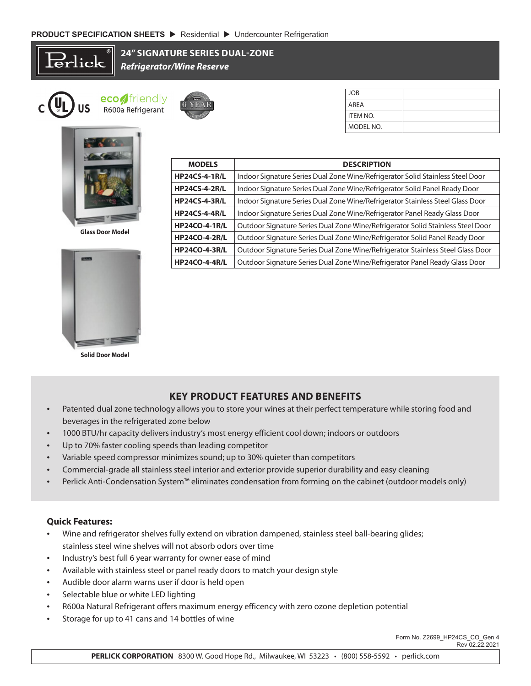$\operatorname{\mathsf{click}}$ 

**24" SIGNATURE SERIES DUAL-ZONE** *Refrigerator/Wine Reserve*

> **<sup>I</sup>NDUSTRY'<sup>S</sup> <sup>B</sup>ES<sup>T</sup> IY'SBE<sup>T</sup>**

**<sup>W</sup>ARRANT<sup>Y</sup>**  $\frac{1}{2}$ **6 YEAR YEAR**







**Glass Door Model** 



**Solid Door Model**

| <b>MODELS</b>        | <b>DESCRIPTION</b>                                                              |
|----------------------|---------------------------------------------------------------------------------|
| <b>HP24CS-4-1R/L</b> | Indoor Signature Series Dual Zone Wine/Refrigerator Solid Stainless Steel Door  |
| <b>HP24CS-4-2R/L</b> | Indoor Signature Series Dual Zone Wine/Refrigerator Solid Panel Ready Door      |
| <b>HP24CS-4-3R/L</b> | Indoor Signature Series Dual Zone Wine/Refrigerator Stainless Steel Glass Door  |
| <b>HP24CS-4-4R/L</b> | Indoor Signature Series Dual Zone Wine/Refrigerator Panel Ready Glass Door      |
| <b>HP24CO-4-1R/L</b> | Outdoor Signature Series Dual Zone Wine/Refrigerator Solid Stainless Steel Door |
| <b>HP24CO-4-2R/L</b> | Outdoor Signature Series Dual Zone Wine/Refrigerator Solid Panel Ready Door     |
| <b>HP24CO-4-3R/L</b> | Outdoor Signature Series Dual Zone Wine/Refrigerator Stainless Steel Glass Door |
| <b>HP24CO-4-4R/L</b> | Outdoor Signature Series Dual Zone Wine/Refrigerator Panel Ready Glass Door     |

JOB AREA ITEM NO. MODEL NO.

## **KEY PRODUCT FEATURES AND BENEFITS**

- Patented dual zone technology allows you to store your wines at their perfect temperature while storing food and beverages in the refrigerated zone below
- 1000 BTU/hr capacity delivers industry's most energy efficient cool down; indoors or outdoors
- Up to 70% faster cooling speeds than leading competitor
- Variable speed compressor minimizes sound; up to 30% quieter than competitors
- Commercial-grade all stainless steel interior and exterior provide superior durability and easy cleaning
- Perlick Anti-Condensation System™ eliminates condensation from forming on the cabinet (outdoor models only)

## **Quick Features:**

- Wine and refrigerator shelves fully extend on vibration dampened, stainless steel ball-bearing glides; stainless steel wine shelves will not absorb odors over time
- Industry's best full 6 year warranty for owner ease of mind
- Available with stainless steel or panel ready doors to match your design style
- Audible door alarm warns user if door is held open
- Selectable blue or white LED lighting
- R600a Natural Refrigerant offers maximum energy efficency with zero ozone depletion potential
- Storage for up to 41 cans and 14 bottles of wine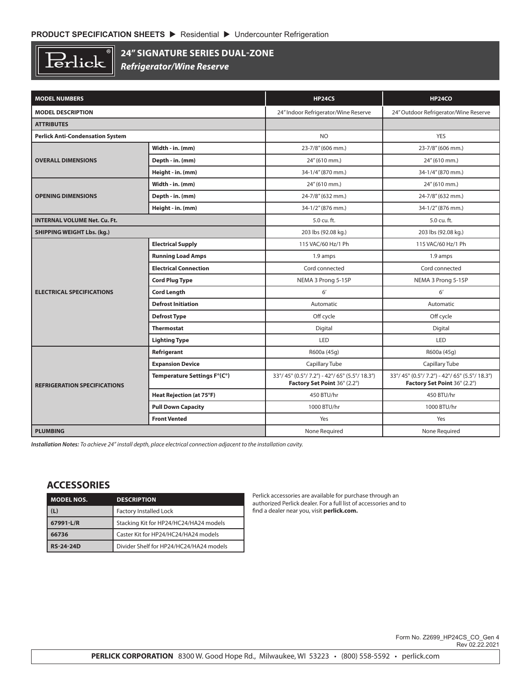

## **24" SIGNATURE SERIES DUAL-ZONE**

*Refrigerator/Wine Reserve*

| <b>MODEL NUMBERS</b>                    |                                 | <b>HP24CS</b>                                                                  | <b>HP24CO</b>                                                              |  |
|-----------------------------------------|---------------------------------|--------------------------------------------------------------------------------|----------------------------------------------------------------------------|--|
| <b>MODEL DESCRIPTION</b>                |                                 | 24" Indoor Refrigerator/Wine Reserve                                           | 24" Outdoor Refrigerator/Wine Reserve                                      |  |
| <b>ATTRIBUTES</b>                       |                                 |                                                                                |                                                                            |  |
| <b>Perlick Anti-Condensation System</b> |                                 | <b>NO</b>                                                                      | <b>YES</b>                                                                 |  |
|                                         | Width - in. (mm)                | 23-7/8" (606 mm.)                                                              | 23-7/8" (606 mm.)                                                          |  |
| <b>OVERALL DIMENSIONS</b>               | Depth - in. (mm)                | 24" (610 mm.)                                                                  | 24" (610 mm.)                                                              |  |
|                                         | Height - in. (mm)               | 34-1/4" (870 mm.)                                                              | 34-1/4" (870 mm.)                                                          |  |
|                                         | Width - in. (mm)                | 24" (610 mm.)                                                                  | 24" (610 mm.)                                                              |  |
| <b>OPENING DIMENSIONS</b>               | Depth - in. (mm)                | 24-7/8" (632 mm.)                                                              | 24-7/8" (632 mm.)                                                          |  |
|                                         | Height - in. (mm)               | 34-1/2" (876 mm.)                                                              | 34-1/2" (876 mm.)                                                          |  |
| <b>INTERNAL VOLUME Net. Cu. Ft.</b>     |                                 | 5.0 cu. ft.                                                                    | 5.0 cu. ft.                                                                |  |
| <b>SHIPPING WEIGHT Lbs. (kg.)</b>       |                                 | 203 lbs (92.08 kg.)                                                            | 203 lbs (92.08 kg.)                                                        |  |
|                                         | <b>Electrical Supply</b>        | 115 VAC/60 Hz/1 Ph                                                             | 115 VAC/60 Hz/1 Ph                                                         |  |
|                                         | <b>Running Load Amps</b>        | 1.9 amps                                                                       | 1.9 amps                                                                   |  |
|                                         | <b>Electrical Connection</b>    | Cord connected                                                                 | Cord connected                                                             |  |
|                                         | <b>Cord Plug Type</b>           | NEMA 3 Prong 5-15P                                                             | NEMA 3 Prong 5-15P                                                         |  |
| <b>ELECTRICAL SPECIFICATIONS</b>        | <b>Cord Length</b>              | 6'                                                                             | 6'                                                                         |  |
|                                         | <b>Defrost Initiation</b>       | Automatic                                                                      | Automatic                                                                  |  |
|                                         | <b>Defrost Type</b>             | Off cycle                                                                      | Off cycle                                                                  |  |
|                                         | <b>Thermostat</b>               | Digital                                                                        | Digital                                                                    |  |
|                                         | <b>Lighting Type</b>            | LED                                                                            | <b>LED</b>                                                                 |  |
|                                         | Refrigerant                     | R600a (45q)                                                                    | R600a (45q)                                                                |  |
|                                         | <b>Expansion Device</b>         | Capillary Tube                                                                 | Capillary Tube                                                             |  |
| <b>REFRIGERATION SPECIFICATIONS</b>     | Temperature Settings F°(C°)     | 33°/ 45° (0.5°/ 7.2°) - 42°/ 65° (5.5°/ 18.3°)<br>Factory Set Point 36° (2.2°) | 33°/45° (0.5°/7.2°) - 42°/65° (5.5°/18.3°)<br>Factory Set Point 36° (2.2°) |  |
|                                         | <b>Heat Rejection (at 75°F)</b> | 450 BTU/hr                                                                     | 450 BTU/hr                                                                 |  |
|                                         | <b>Pull Down Capacity</b>       | 1000 BTU/hr                                                                    | 1000 BTU/hr                                                                |  |
|                                         | <b>Front Vented</b>             | Yes                                                                            | Yes                                                                        |  |
| <b>PLUMBING</b>                         |                                 | None Required                                                                  | None Required                                                              |  |

*Installation Notes: To achieve 24" install depth, place electrical connection adjacent to the installation cavity.*

## **ACCESSORIES**

| <b>MODEL NOS.</b> | <b>DESCRIPTION</b>                      |  |
|-------------------|-----------------------------------------|--|
| (L)               | <b>Factory Installed Lock</b>           |  |
| 67991-L/R         | Stacking Kit for HP24/HC24/HA24 models  |  |
| 66736             | Caster Kit for HP24/HC24/HA24 models    |  |
| <b>RS-24-24D</b>  | Divider Shelf for HP24/HC24/HA24 models |  |

Perlick accessories are available for purchase through an authorized Perlick dealer. For a full list of accessories and to find a dealer near you, visit **perlick.com.**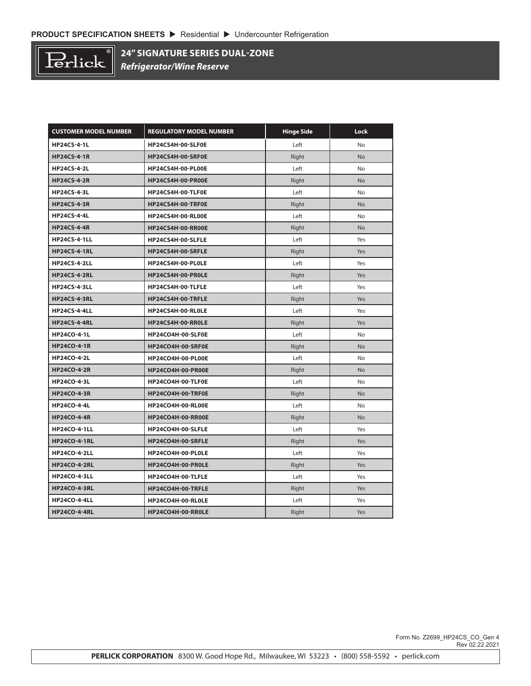

**24" SIGNATURE SERIES DUAL-ZONE** *Refrigerator/Wine Reserve*

| <b>CUSTOMER MODEL NUMBER</b> | <b>REGULATORY MODEL NUMBER</b> | <b>Hinge Side</b> | Lock      |
|------------------------------|--------------------------------|-------------------|-----------|
| <b>HP24CS-4-1L</b>           | HP24CS4H-00-SLF0E              | Left              | No        |
| <b>HP24CS-4-1R</b>           | HP24CS4H-00-SRF0E              | Right             | No        |
| <b>HP24CS-4-2L</b>           | HP24CS4H-00-PL00E              | Left              | No        |
| <b>HP24CS-4-2R</b>           | HP24CS4H-00-PR00E              | Right             | <b>No</b> |
| <b>HP24CS-4-3L</b>           | HP24CS4H-00-TLF0E              | Left              | No        |
| <b>HP24CS-4-3R</b>           | HP24CS4H-00-TRF0E              | Right             | <b>No</b> |
| <b>HP24CS-4-4L</b>           | <b>HP24CS4H-00-RL00E</b>       | Left              | No        |
| <b>HP24CS-4-4R</b>           | HP24CS4H-00-RR00E              | Right             | <b>No</b> |
| <b>HP24CS-4-1LL</b>          | HP24CS4H-00-SLFLE              | Left              | Yes       |
| <b>HP24CS-4-1RL</b>          | HP24CS4H-00-SRFLE              | Right             | Yes       |
| <b>HP24CS-4-2LL</b>          | HP24CS4H-00-PL0LE              | Left              | Yes       |
| <b>HP24CS-4-2RL</b>          | HP24CS4H-00-PROLE              | Right             | Yes       |
| <b>HP24CS-4-3LL</b>          | HP24CS4H-00-TLFLE              | Left              | Yes       |
| <b>HP24CS-4-3RL</b>          | HP24CS4H-00-TRFLE              | Right             | Yes       |
| <b>HP24CS-4-4LL</b>          | HP24CS4H-00-RL0LE              | Left              | Yes       |
| <b>HP24CS-4-4RL</b>          | HP24CS4H-00-RR0LE              | Right             | Yes       |
| <b>HP24CO-4-1L</b>           | HP24CO4H-00-SLF0E              | Left              | No        |
| <b>HP24CO-4-1R</b>           | HP24CO4H-00-SRF0E              | Right             | No        |
| <b>HP24CO-4-2L</b>           | HP24CO4H-00-PL00E              | Left              | No        |
| <b>HP24CO-4-2R</b>           | HP24CO4H-00-PR00E              | Right             | No        |
| <b>HP24CO-4-3L</b>           | HP24CO4H-00-TLF0E              | Left              | No        |
| <b>HP24CO-4-3R</b>           | HP24CO4H-00-TRF0E              | Right             | No        |
| <b>HP24CO-4-4L</b>           | HP24CO4H-00-RL00E              | Left              | No        |
| <b>HP24CO-4-4R</b>           | HP24CO4H-00-RR00E              | Right             | No        |
| <b>HP24CO-4-1LL</b>          | HP24CO4H-00-SLFLE              | Left              | Yes       |
| <b>HP24CO-4-1RL</b>          | HP24CO4H-00-SRFLE              | Right             | Yes       |
| <b>HP24CO-4-2LL</b>          | HP24CO4H-00-PL0LE              | Left              | Yes       |
| <b>HP24CO-4-2RL</b>          | HP24CO4H-00-PR0LE              | Right             | Yes       |
| <b>HP24CO-4-3LL</b>          | HP24CO4H-00-TLFLE              | Left              | Yes       |
| <b>HP24CO-4-3RL</b>          | HP24CO4H-00-TRFLE              | Right             | Yes       |
| <b>HP24CO-4-4LL</b>          | HP24CO4H-00-RL0LE              | Left              | Yes       |
| <b>HP24CO-4-4RL</b>          | HP24CO4H-00-RR0LE              | Right             | Yes       |